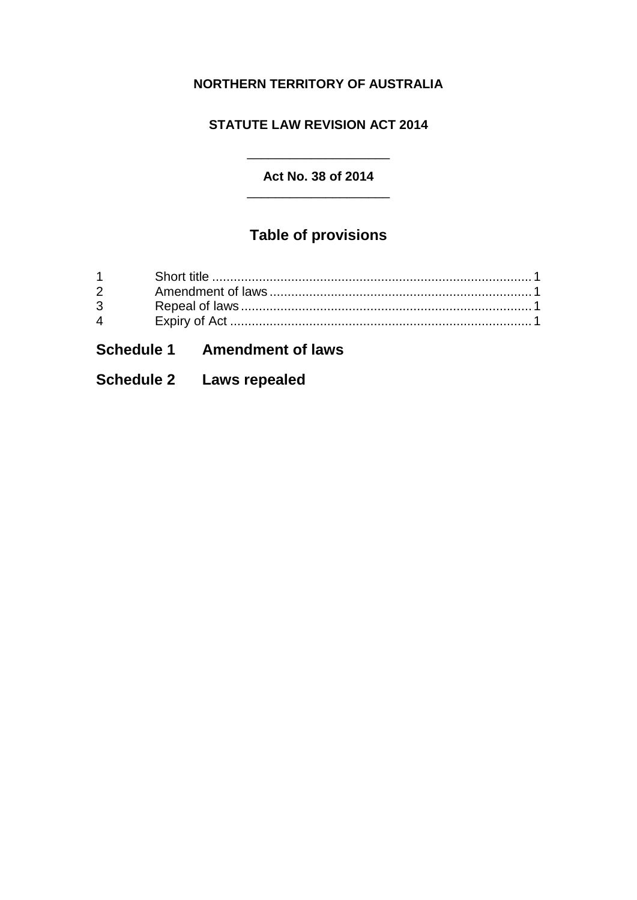### **NORTHERN TERRITORY OF AUSTRALIA**

#### **STATUTE LAW REVISION ACT 2014**

#### **Act No. 38 of 2014** \_\_\_\_\_\_\_\_\_\_\_\_\_\_\_\_\_\_\_\_

 $\overline{\phantom{a}}$  , and the set of the set of the set of the set of the set of the set of the set of the set of the set of the set of the set of the set of the set of the set of the set of the set of the set of the set of the s

# **Table of provisions**

| $3 \quad \blacksquare$ |  |
|------------------------|--|
| $\overline{4}$         |  |
|                        |  |

# **Schedule 1 Amendment of laws**

### **Schedule 2 Laws repealed**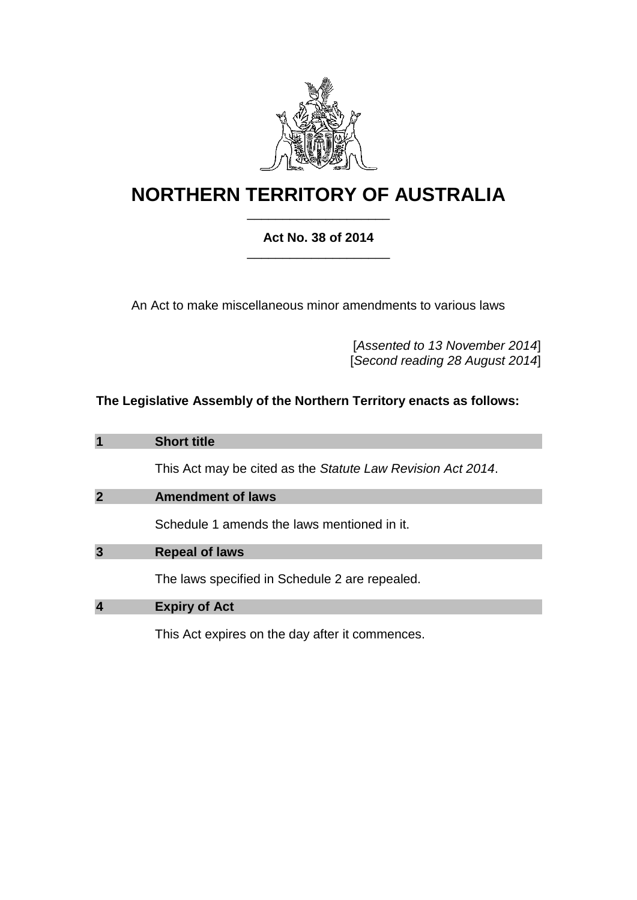

# **NORTHERN TERRITORY OF AUSTRALIA** \_\_\_\_\_\_\_\_\_\_\_\_\_\_\_\_\_\_\_\_

#### **Act No. 38 of 2014** \_\_\_\_\_\_\_\_\_\_\_\_\_\_\_\_\_\_\_\_

An Act to make miscellaneous minor amendments to various laws

[*Assented to 13 November 2014*] [*Second reading 28 August 2014*]

### **The Legislative Assembly of the Northern Territory enacts as follows:**

<span id="page-2-0"></span>

| 1              | <b>Short title</b>                                          |
|----------------|-------------------------------------------------------------|
|                | This Act may be cited as the Statute Law Revision Act 2014. |
| $\overline{2}$ | <b>Amendment of laws</b>                                    |
|                | Schedule 1 amends the laws mentioned in it.                 |
| 3              | <b>Repeal of laws</b>                                       |
|                | The laws specified in Schedule 2 are repealed.              |
| 4              | <b>Expiry of Act</b>                                        |
|                | This Act expires on the day after it commences.             |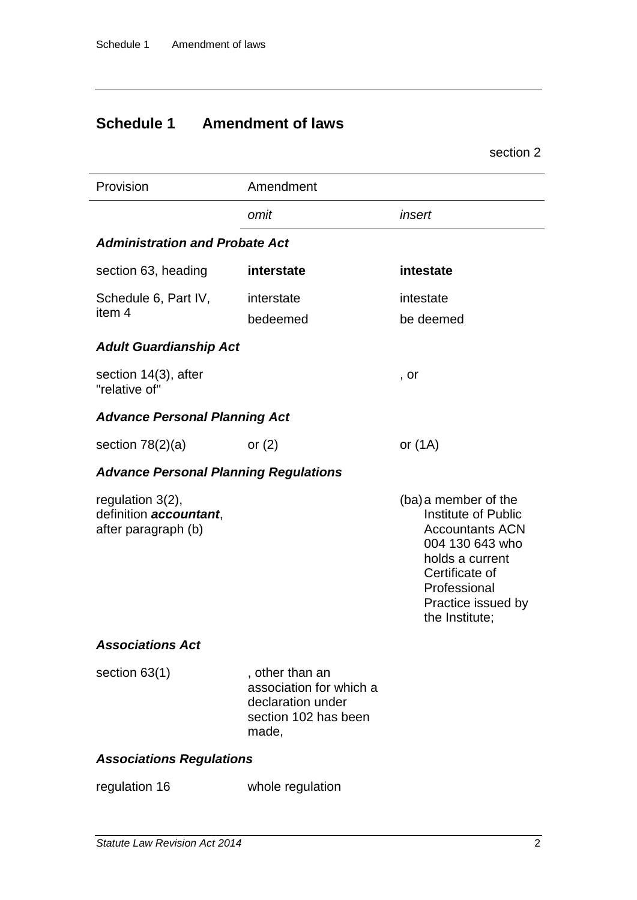# **Schedule 1 Amendment of laws**

|                                                                      |                                                                                                  | section 2                                                                                                                                                                                    |
|----------------------------------------------------------------------|--------------------------------------------------------------------------------------------------|----------------------------------------------------------------------------------------------------------------------------------------------------------------------------------------------|
| Provision                                                            | Amendment                                                                                        |                                                                                                                                                                                              |
|                                                                      | omit                                                                                             | insert                                                                                                                                                                                       |
| <b>Administration and Probate Act</b>                                |                                                                                                  |                                                                                                                                                                                              |
| section 63, heading                                                  | interstate                                                                                       | intestate                                                                                                                                                                                    |
| Schedule 6, Part IV,                                                 | interstate                                                                                       | intestate                                                                                                                                                                                    |
| item 4                                                               | bedeemed                                                                                         | be deemed                                                                                                                                                                                    |
| <b>Adult Guardianship Act</b>                                        |                                                                                                  |                                                                                                                                                                                              |
| section 14(3), after<br>"relative of"                                |                                                                                                  | , or                                                                                                                                                                                         |
| <b>Advance Personal Planning Act</b>                                 |                                                                                                  |                                                                                                                                                                                              |
| section $78(2)(a)$                                                   | or $(2)$                                                                                         | or $(1A)$                                                                                                                                                                                    |
| <b>Advance Personal Planning Regulations</b>                         |                                                                                                  |                                                                                                                                                                                              |
| regulation $3(2)$ ,<br>definition accountant,<br>after paragraph (b) |                                                                                                  | (ba) a member of the<br><b>Institute of Public</b><br><b>Accountants ACN</b><br>004 130 643 who<br>holds a current<br>Certificate of<br>Professional<br>Practice issued by<br>the Institute; |
| <b>Associations Act</b>                                              |                                                                                                  |                                                                                                                                                                                              |
| section $63(1)$                                                      | , other than an<br>association for which a<br>declaration under<br>section 102 has been<br>made, |                                                                                                                                                                                              |

### *Associations Regulations*

| regulation 16 | whole regulation |
|---------------|------------------|
|               |                  |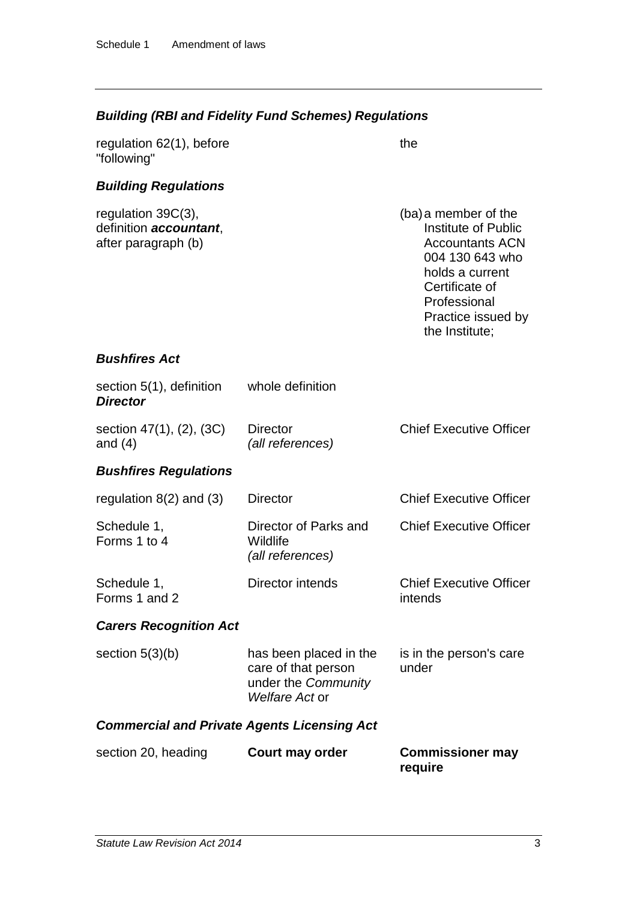# *Building (RBI and Fidelity Fund Schemes) Regulations*

| regulation 62(1), before<br>"following"                                        |                                                                                        | the                                                                                                                                                                                   |
|--------------------------------------------------------------------------------|----------------------------------------------------------------------------------------|---------------------------------------------------------------------------------------------------------------------------------------------------------------------------------------|
| <b>Building Regulations</b>                                                    |                                                                                        |                                                                                                                                                                                       |
| regulation $39C(3)$ ,<br>definition <b>accountant</b> ,<br>after paragraph (b) |                                                                                        | (ba) a member of the<br>Institute of Public<br><b>Accountants ACN</b><br>004 130 643 who<br>holds a current<br>Certificate of<br>Professional<br>Practice issued by<br>the Institute; |
| <b>Bushfires Act</b>                                                           |                                                                                        |                                                                                                                                                                                       |
| section 5(1), definition<br><b>Director</b>                                    | whole definition                                                                       |                                                                                                                                                                                       |
| section 47(1), (2), (3C)<br>and $(4)$                                          | <b>Director</b><br>(all references)                                                    | <b>Chief Executive Officer</b>                                                                                                                                                        |
| <b>Bushfires Regulations</b>                                                   |                                                                                        |                                                                                                                                                                                       |
| regulation $8(2)$ and $(3)$                                                    | <b>Director</b>                                                                        | <b>Chief Executive Officer</b>                                                                                                                                                        |
| Schedule 1,<br>Forms 1 to 4                                                    | Director of Parks and<br>Wildlife<br>(all references)                                  | <b>Chief Executive Officer</b>                                                                                                                                                        |
| Schedule 1,<br>Forms 1 and 2                                                   | Director intends                                                                       | <b>Chief Executive Officer</b><br>intends                                                                                                                                             |
| <b>Carers Recognition Act</b>                                                  |                                                                                        |                                                                                                                                                                                       |
| section $5(3)(b)$                                                              | has been placed in the<br>care of that person<br>under the Community<br>Welfare Act or | is in the person's care<br>under                                                                                                                                                      |
| <b>Commercial and Private Agents Licensing Act</b>                             |                                                                                        |                                                                                                                                                                                       |
| section 20, heading                                                            | <b>Court may order</b>                                                                 | <b>Commissioner may</b><br>require                                                                                                                                                    |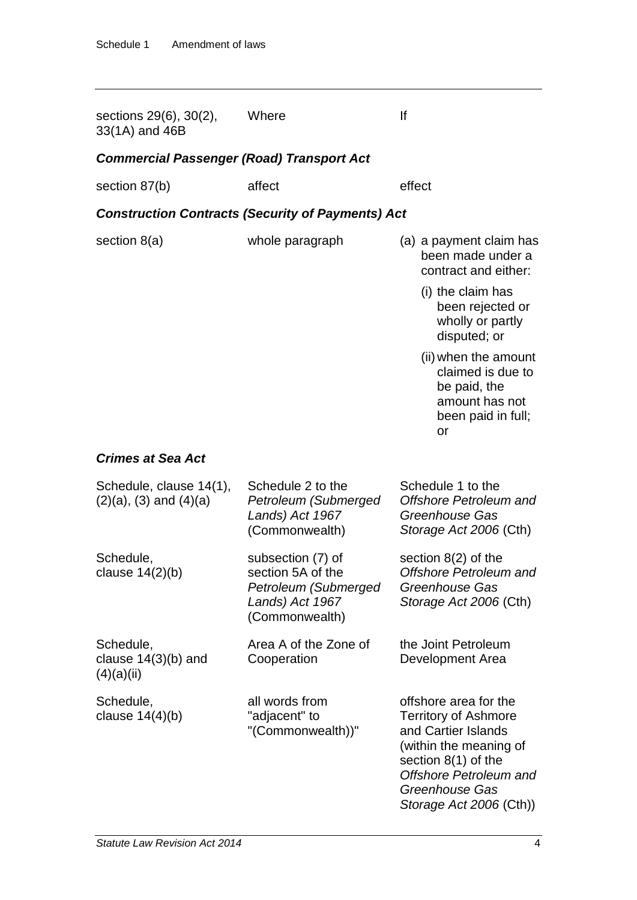| sections 29(6), 30(2),<br>33(1A) and 46B                 | Where                                                                                               | lf                                                                                                                                                                                                           |
|----------------------------------------------------------|-----------------------------------------------------------------------------------------------------|--------------------------------------------------------------------------------------------------------------------------------------------------------------------------------------------------------------|
| <b>Commercial Passenger (Road) Transport Act</b>         |                                                                                                     |                                                                                                                                                                                                              |
| section 87(b)                                            | affect                                                                                              | effect                                                                                                                                                                                                       |
|                                                          | <b>Construction Contracts (Security of Payments) Act</b>                                            |                                                                                                                                                                                                              |
| section $8(a)$                                           | whole paragraph                                                                                     | (a) a payment claim has<br>been made under a<br>contract and either:                                                                                                                                         |
|                                                          |                                                                                                     | (i) the claim has<br>been rejected or<br>wholly or partly<br>disputed; or                                                                                                                                    |
|                                                          |                                                                                                     | (ii) when the amount<br>claimed is due to<br>be paid, the<br>amount has not<br>been paid in full;<br>or                                                                                                      |
| <b>Crimes at Sea Act</b>                                 |                                                                                                     |                                                                                                                                                                                                              |
| Schedule, clause 14(1),<br>$(2)(a)$ , $(3)$ and $(4)(a)$ | Schedule 2 to the<br>Petroleum (Submerged<br>Lands) Act 1967<br>(Commonwealth)                      | Schedule 1 to the<br><b>Offshore Petroleum and</b><br>Greenhouse Gas<br>Storage Act 2006 (Cth)                                                                                                               |
| Schedule,<br>clause $14(2)(b)$                           | subsection (7) of<br>section 5A of the<br>Petroleum (Submerged<br>Lands) Act 1967<br>(Commonwealth) | section $8(2)$ of the<br><b>Offshore Petroleum and</b><br>Greenhouse Gas<br>Storage Act 2006 (Cth)                                                                                                           |
| Schedule,<br>clause $14(3)(b)$ and<br>(4)(a)(ii)         | Area A of the Zone of<br>Cooperation                                                                | the Joint Petroleum<br>Development Area                                                                                                                                                                      |
| Schedule,<br>clause $14(4)(b)$                           | all words from<br>"adjacent" to<br>"(Commonwealth))"                                                | offshore area for the<br><b>Territory of Ashmore</b><br>and Cartier Islands<br>(within the meaning of<br>section $8(1)$ of the<br><b>Offshore Petroleum and</b><br>Greenhouse Gas<br>Storage Act 2006 (Cth)) |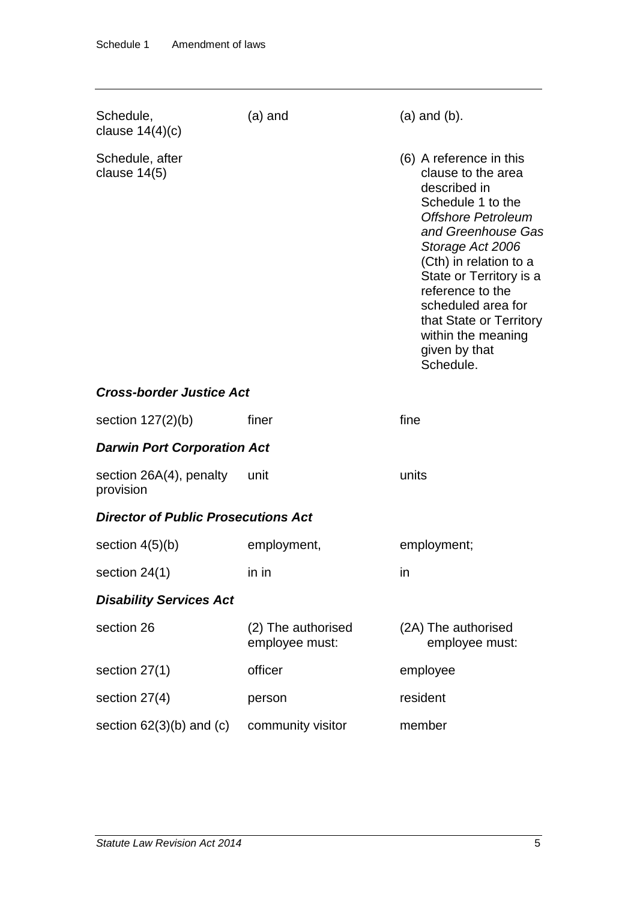| Schedule,<br>clause $14(4)(c)$             | $(a)$ and                            | $(a)$ and $(b)$ .                                                                                                                                                                                                                                                                                                                       |
|--------------------------------------------|--------------------------------------|-----------------------------------------------------------------------------------------------------------------------------------------------------------------------------------------------------------------------------------------------------------------------------------------------------------------------------------------|
| Schedule, after<br>clause $14(5)$          |                                      | (6) A reference in this<br>clause to the area<br>described in<br>Schedule 1 to the<br><b>Offshore Petroleum</b><br>and Greenhouse Gas<br>Storage Act 2006<br>(Cth) in relation to a<br>State or Territory is a<br>reference to the<br>scheduled area for<br>that State or Territory<br>within the meaning<br>given by that<br>Schedule. |
| <b>Cross-border Justice Act</b>            |                                      |                                                                                                                                                                                                                                                                                                                                         |
| section $127(2)(b)$                        | finer                                | fine                                                                                                                                                                                                                                                                                                                                    |
| <b>Darwin Port Corporation Act</b>         |                                      |                                                                                                                                                                                                                                                                                                                                         |
| section $26A(4)$ , penalty<br>provision    | unit                                 | units                                                                                                                                                                                                                                                                                                                                   |
| <b>Director of Public Prosecutions Act</b> |                                      |                                                                                                                                                                                                                                                                                                                                         |
| section $4(5)(b)$                          | employment,                          | employment;                                                                                                                                                                                                                                                                                                                             |
| section 24(1)                              | in in                                | in                                                                                                                                                                                                                                                                                                                                      |
| <b>Disability Services Act</b>             |                                      |                                                                                                                                                                                                                                                                                                                                         |
| section 26                                 | (2) The authorised<br>employee must: | (2A) The authorised<br>employee must:                                                                                                                                                                                                                                                                                                   |
| section $27(1)$                            | officer                              | employee                                                                                                                                                                                                                                                                                                                                |
| section 27(4)                              | person                               | resident                                                                                                                                                                                                                                                                                                                                |
| section $62(3)(b)$ and $(c)$               | community visitor                    | member                                                                                                                                                                                                                                                                                                                                  |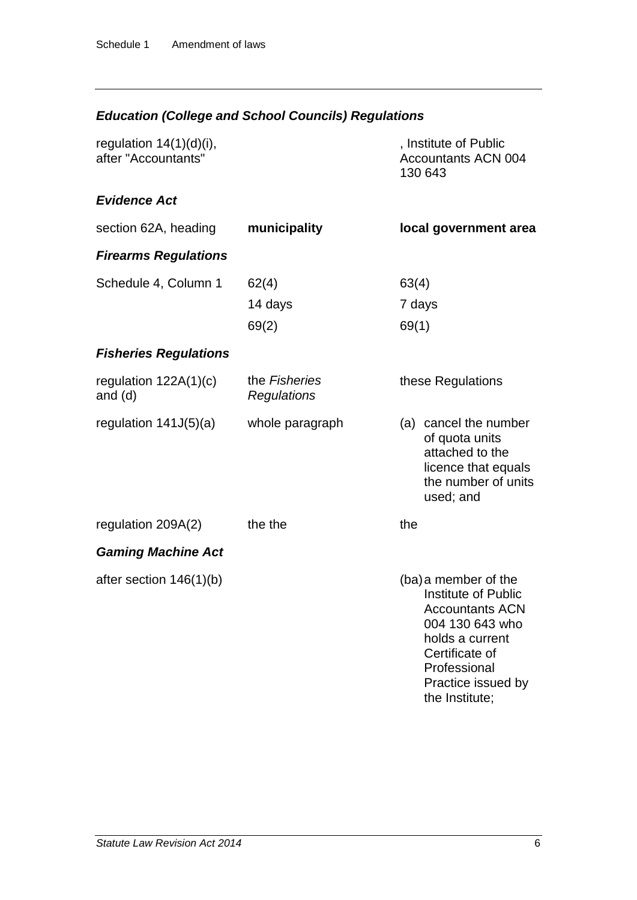# *Education (College and School Councils) Regulations*

| regulation $14(1)(d)(i)$ ,<br>after "Accountants" |                              | , Institute of Public<br><b>Accountants ACN 004</b><br>130 643                                                                                                                               |
|---------------------------------------------------|------------------------------|----------------------------------------------------------------------------------------------------------------------------------------------------------------------------------------------|
| <b>Evidence Act</b>                               |                              |                                                                                                                                                                                              |
| section 62A, heading                              | municipality                 | local government area                                                                                                                                                                        |
| <b>Firearms Regulations</b>                       |                              |                                                                                                                                                                                              |
| Schedule 4, Column 1                              | 62(4)                        | 63(4)                                                                                                                                                                                        |
|                                                   | 14 days                      | 7 days                                                                                                                                                                                       |
|                                                   | 69(2)                        | 69(1)                                                                                                                                                                                        |
| <b>Fisheries Regulations</b>                      |                              |                                                                                                                                                                                              |
| regulation $122A(1)(c)$<br>and $(d)$              | the Fisheries<br>Regulations | these Regulations                                                                                                                                                                            |
| regulation $141J(5)(a)$                           | whole paragraph              | (a) cancel the number<br>of quota units<br>attached to the<br>licence that equals<br>the number of units<br>used; and                                                                        |
| regulation 209A(2)                                | the the                      | the                                                                                                                                                                                          |
| <b>Gaming Machine Act</b>                         |                              |                                                                                                                                                                                              |
| after section $146(1)(b)$                         |                              | (ba) a member of the<br><b>Institute of Public</b><br><b>Accountants ACN</b><br>004 130 643 who<br>holds a current<br>Certificate of<br>Professional<br>Practice issued by<br>the Institute; |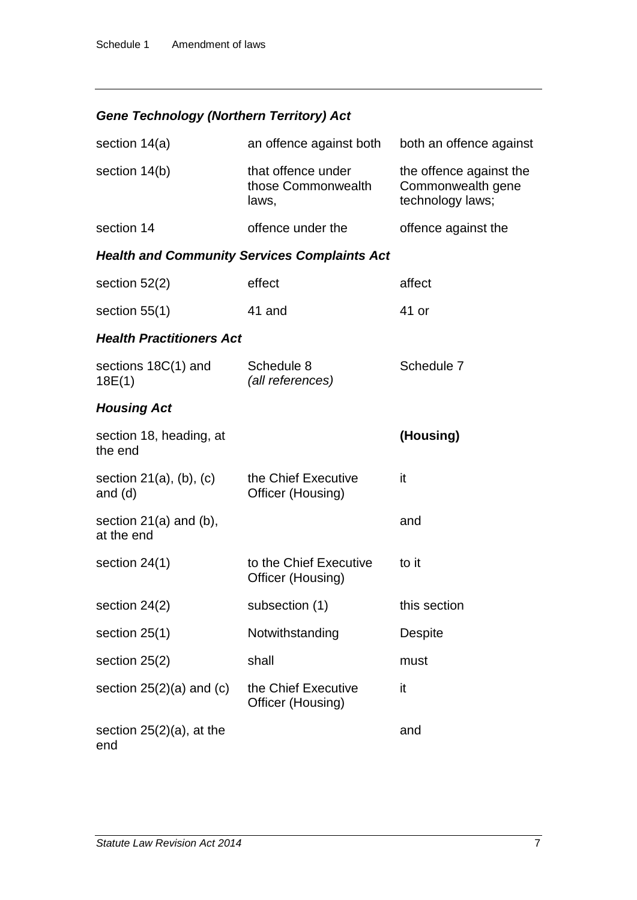# *Gene Technology (Northern Territory) Act*

| section $14(a)$                              | an offence against both                             | both an offence against                                          |
|----------------------------------------------|-----------------------------------------------------|------------------------------------------------------------------|
| section 14(b)                                | that offence under<br>those Commonwealth<br>laws,   | the offence against the<br>Commonwealth gene<br>technology laws; |
| section 14                                   | offence under the                                   | offence against the                                              |
|                                              | <b>Health and Community Services Complaints Act</b> |                                                                  |
| section $52(2)$                              | effect                                              | affect                                                           |
| section $55(1)$                              | 41 and                                              | 41 or                                                            |
| <b>Health Practitioners Act</b>              |                                                     |                                                                  |
| sections 18C(1) and<br>18E(1)                | Schedule 8<br>(all references)                      | Schedule 7                                                       |
| <b>Housing Act</b>                           |                                                     |                                                                  |
| section 18, heading, at<br>the end           |                                                     | (Housing)                                                        |
| section $21(a)$ , $(b)$ , $(c)$<br>and $(d)$ | the Chief Executive<br>Officer (Housing)            | it                                                               |
| section $21(a)$ and $(b)$ ,<br>at the end    |                                                     | and                                                              |
| section $24(1)$                              | to the Chief Executive<br>Officer (Housing)         | to it                                                            |
| section $24(2)$                              | subsection (1)                                      | this section                                                     |
| section $25(1)$                              | Notwithstanding                                     | <b>Despite</b>                                                   |
| section 25(2)                                | shall                                               | must                                                             |
| section $25(2)(a)$ and $(c)$                 | the Chief Executive<br>Officer (Housing)            | it                                                               |
| section $25(2)(a)$ , at the<br>end           |                                                     | and                                                              |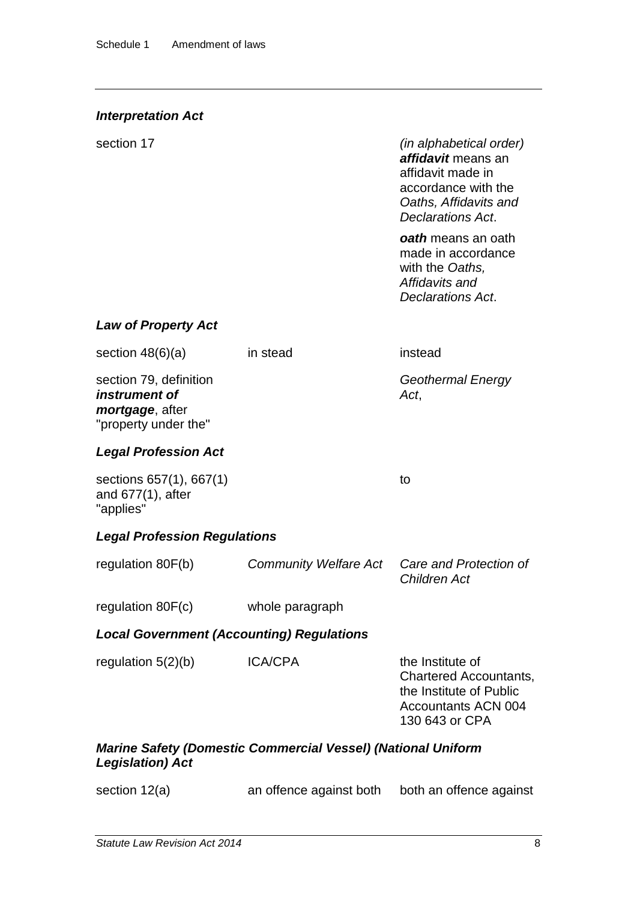#### *Interpretation Act*

section 17 *(in alphabetical order) affidavit* means an affidavit made in accordance with the *Oaths, Affidavits and Declarations Act*.

> *oath* means an oath made in accordance with the *Oaths, Affidavits and Declarations Act*.

#### *Law of Property Act*

| section $48(6)(a)$                                                                              | in stead                     | instead                                                                                                                      |  |
|-------------------------------------------------------------------------------------------------|------------------------------|------------------------------------------------------------------------------------------------------------------------------|--|
| section 79, definition<br>instrument of<br><i>mortgage</i> , after<br>"property under the"      |                              | <b>Geothermal Energy</b><br>Act,                                                                                             |  |
| <b>Legal Profession Act</b>                                                                     |                              |                                                                                                                              |  |
| sections 657(1), 667(1)<br>and $677(1)$ , after<br>"applies"                                    |                              | to                                                                                                                           |  |
| <b>Legal Profession Regulations</b>                                                             |                              |                                                                                                                              |  |
| regulation 80F(b)                                                                               | <b>Community Welfare Act</b> | Care and Protection of<br><b>Children Act</b>                                                                                |  |
| regulation 80F(c)                                                                               | whole paragraph              |                                                                                                                              |  |
| <b>Local Government (Accounting) Regulations</b>                                                |                              |                                                                                                                              |  |
| regulation $5(2)(b)$                                                                            | <b>ICA/CPA</b>               | the Institute of<br><b>Chartered Accountants,</b><br>the Institute of Public<br><b>Accountants ACN 004</b><br>130 643 or CPA |  |
| <b>Marine Safety (Domestic Commercial Vessel) (National Uniform</b><br><b>Legislation</b> ) Act |                              |                                                                                                                              |  |
| section 12(a)                                                                                   | an offence against both      | both an offence against                                                                                                      |  |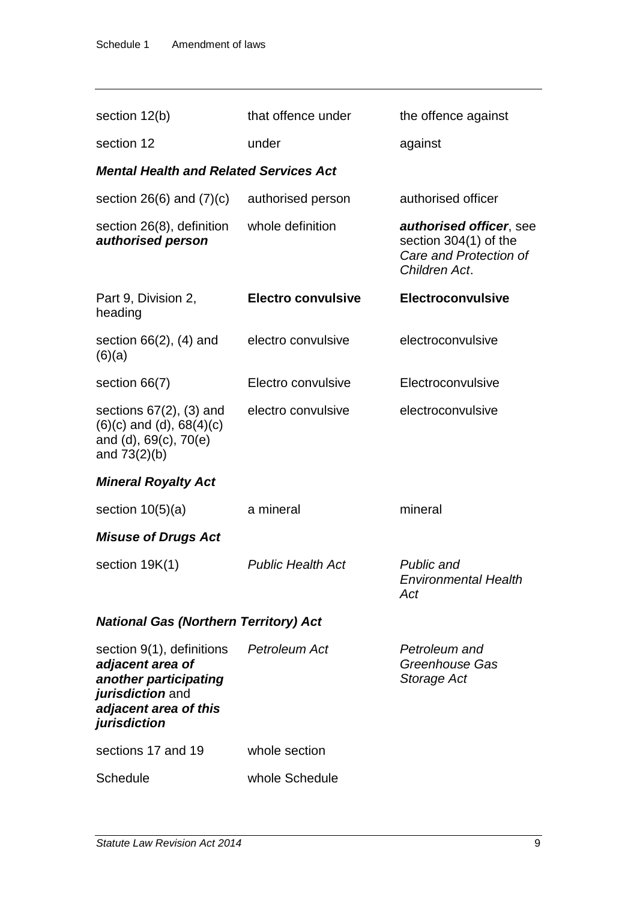| section 12(b)                                                                                                                       | that offence under        | the offence against                                                                         |
|-------------------------------------------------------------------------------------------------------------------------------------|---------------------------|---------------------------------------------------------------------------------------------|
| section 12                                                                                                                          | under                     | against                                                                                     |
| <b>Mental Health and Related Services Act</b>                                                                                       |                           |                                                                                             |
| section $26(6)$ and $(7)(c)$                                                                                                        | authorised person         | authorised officer                                                                          |
| section 26(8), definition<br>authorised person                                                                                      | whole definition          | authorised officer, see<br>section 304(1) of the<br>Care and Protection of<br>Children Act. |
| Part 9, Division 2,<br>heading                                                                                                      | <b>Electro convulsive</b> | Electroconvulsive                                                                           |
| section $66(2)$ , $(4)$ and<br>(6)(a)                                                                                               | electro convulsive        | electroconvulsive                                                                           |
| section 66(7)                                                                                                                       | Electro convulsive        | Electroconvulsive                                                                           |
| sections $67(2)$ , $(3)$ and<br>$(6)(c)$ and $(d)$ , $68(4)(c)$<br>and (d), 69(c), 70(e)<br>and $73(2)(b)$                          | electro convulsive        | electroconvulsive                                                                           |
| <b>Mineral Royalty Act</b>                                                                                                          |                           |                                                                                             |
| section $10(5)(a)$                                                                                                                  | a mineral                 | mineral                                                                                     |
| <b>Misuse of Drugs Act</b>                                                                                                          |                           |                                                                                             |
| section $19K(1)$                                                                                                                    | <b>Public Health Act</b>  | Public and<br><b>Environmental Health</b><br>Act                                            |
| <b>National Gas (Northern Territory) Act</b>                                                                                        |                           |                                                                                             |
| section 9(1), definitions<br>adjacent area of<br>another participating<br>jurisdiction and<br>adjacent area of this<br>jurisdiction | Petroleum Act             | Petroleum and<br>Greenhouse Gas<br>Storage Act                                              |
| sections 17 and 19                                                                                                                  | whole section             |                                                                                             |
| Schedule                                                                                                                            | whole Schedule            |                                                                                             |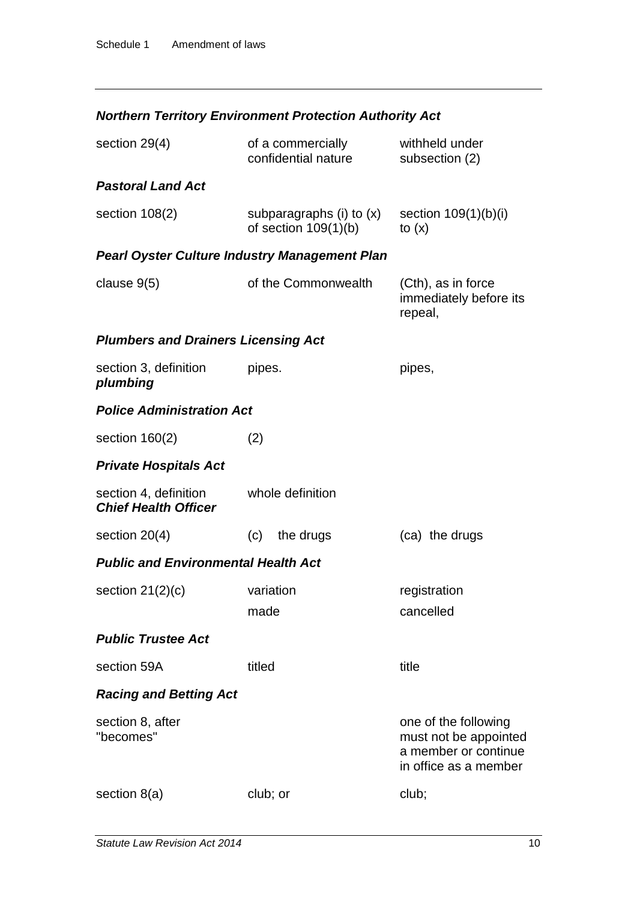# *Northern Territory Environment Protection Authority Act*

| section 29(4)                                        | of a commercially<br>confidential nature           | withheld under<br>subsection (2)                                                               |
|------------------------------------------------------|----------------------------------------------------|------------------------------------------------------------------------------------------------|
| <b>Pastoral Land Act</b>                             |                                                    |                                                                                                |
| section $108(2)$                                     | subparagraphs (i) to (x)<br>of section $109(1)(b)$ | section $109(1)(b)(i)$<br>to $(x)$                                                             |
| <b>Pearl Oyster Culture Industry Management Plan</b> |                                                    |                                                                                                |
| clause $9(5)$                                        | of the Commonwealth                                | (Cth), as in force<br>immediately before its<br>repeal,                                        |
| <b>Plumbers and Drainers Licensing Act</b>           |                                                    |                                                                                                |
| section 3, definition<br>plumbing                    | pipes.                                             | pipes,                                                                                         |
| <b>Police Administration Act</b>                     |                                                    |                                                                                                |
| section $160(2)$                                     | (2)                                                |                                                                                                |
| <b>Private Hospitals Act</b>                         |                                                    |                                                                                                |
| section 4, definition<br><b>Chief Health Officer</b> | whole definition                                   |                                                                                                |
| section $20(4)$                                      | the drugs<br>(c)                                   | (ca) the drugs                                                                                 |
| <b>Public and Environmental Health Act</b>           |                                                    |                                                                                                |
| section $21(2)(c)$                                   | variation                                          | registration                                                                                   |
|                                                      | made                                               | cancelled                                                                                      |
| <b>Public Trustee Act</b>                            |                                                    |                                                                                                |
| section 59A                                          | titled                                             | title                                                                                          |
| <b>Racing and Betting Act</b>                        |                                                    |                                                                                                |
| section 8, after<br>"becomes"                        |                                                    | one of the following<br>must not be appointed<br>a member or continue<br>in office as a member |
| section $8(a)$                                       | club; or                                           | club;                                                                                          |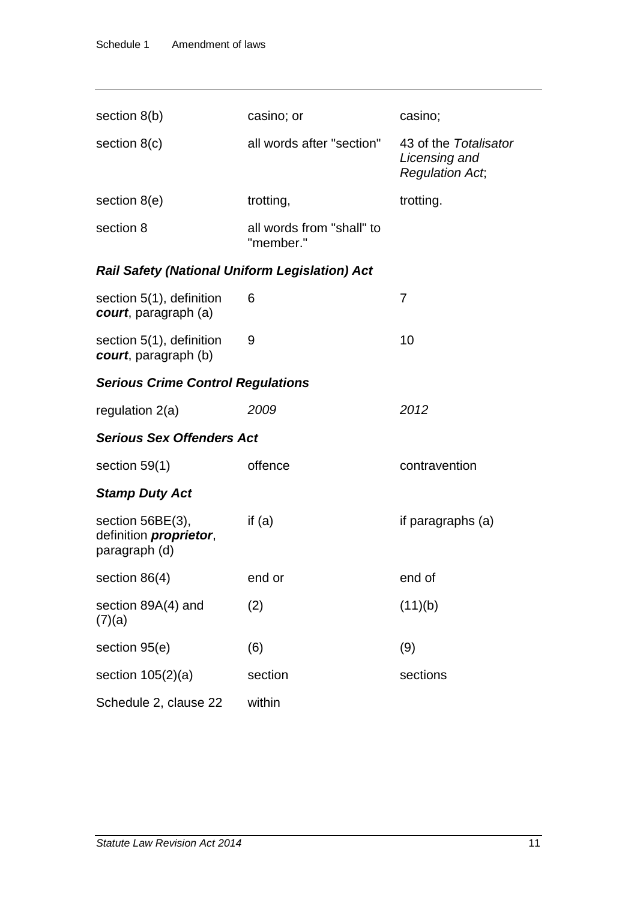| section $8(b)$                                                      | casino; or                             | casino;                                                          |  |
|---------------------------------------------------------------------|----------------------------------------|------------------------------------------------------------------|--|
| section $8(c)$                                                      | all words after "section"              | 43 of the Totalisator<br>Licensing and<br><b>Regulation Act,</b> |  |
| section 8(e)                                                        | trotting,                              | trotting.                                                        |  |
| section 8                                                           | all words from "shall" to<br>"member." |                                                                  |  |
| Rail Safety (National Uniform Legislation) Act                      |                                        |                                                                  |  |
| section 5(1), definition<br>court, paragraph (a)                    | 6                                      | 7                                                                |  |
| section 5(1), definition<br>court, paragraph (b)                    | 9                                      | 10                                                               |  |
| <b>Serious Crime Control Regulations</b>                            |                                        |                                                                  |  |
| regulation $2(a)$                                                   | 2009                                   | 2012                                                             |  |
| <b>Serious Sex Offenders Act</b>                                    |                                        |                                                                  |  |
| section $59(1)$                                                     | offence                                | contravention                                                    |  |
| <b>Stamp Duty Act</b>                                               |                                        |                                                                  |  |
| section 56BE(3),<br>definition <i>proprietor</i> ,<br>paragraph (d) | if $(a)$                               | if paragraphs (a)                                                |  |
| section 86(4)                                                       | end or                                 | end of                                                           |  |
| section 89A(4) and<br>(7)(a)                                        | (2)                                    | (11)(b)                                                          |  |
| section 95(e)                                                       | (6)                                    | (9)                                                              |  |
| section $105(2)(a)$                                                 | section                                | sections                                                         |  |
| Schedule 2, clause 22                                               | within                                 |                                                                  |  |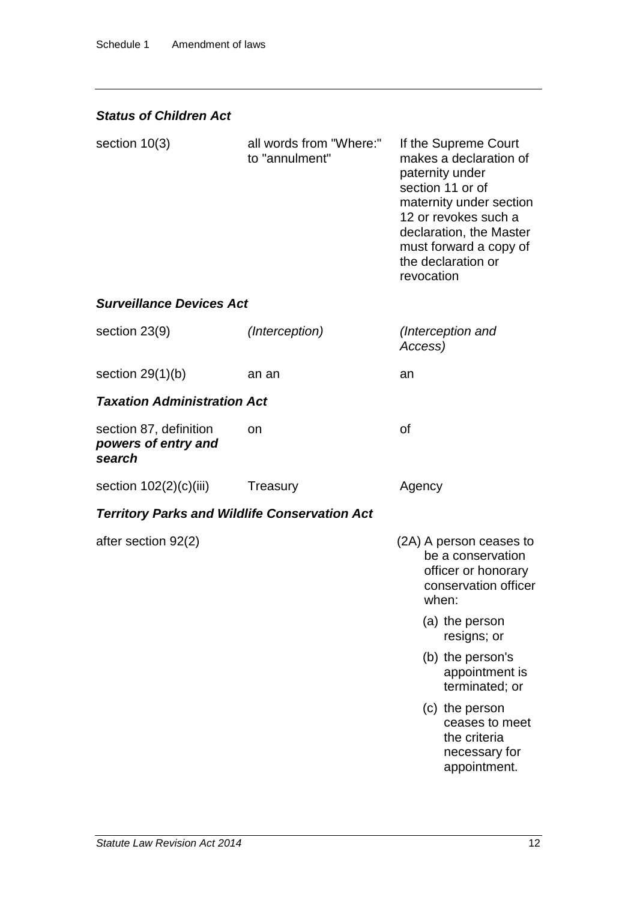### *Status of Children Act*

| section $10(3)$                                         | all words from "Where:"<br>to "annulment"            | If the Supreme Court<br>makes a declaration of<br>paternity under<br>section 11 or of<br>maternity under section<br>12 or revokes such a<br>declaration, the Master<br>must forward a copy of<br>the declaration or<br>revocation |
|---------------------------------------------------------|------------------------------------------------------|-----------------------------------------------------------------------------------------------------------------------------------------------------------------------------------------------------------------------------------|
| <b>Surveillance Devices Act</b>                         |                                                      |                                                                                                                                                                                                                                   |
| section 23(9)                                           | (Interception)                                       | (Interception and<br>Access)                                                                                                                                                                                                      |
| section $29(1)(b)$                                      | an an                                                | an                                                                                                                                                                                                                                |
| <b>Taxation Administration Act</b>                      |                                                      |                                                                                                                                                                                                                                   |
| section 87, definition<br>powers of entry and<br>search | on                                                   | <b>of</b>                                                                                                                                                                                                                         |
| section $102(2)(c)(iii)$                                | <b>Treasury</b>                                      | Agency                                                                                                                                                                                                                            |
|                                                         | <b>Territory Parks and Wildlife Conservation Act</b> |                                                                                                                                                                                                                                   |
| after section 92(2)                                     |                                                      | (2A) A person ceases to<br>be a conservation<br>officer or honorary<br>conservation officer<br>when:                                                                                                                              |
|                                                         |                                                      | (a) the person<br>resigns; or                                                                                                                                                                                                     |
|                                                         |                                                      | (b) the person's<br>appointment is<br>terminated; or                                                                                                                                                                              |
|                                                         |                                                      | (c) the person<br>ceases to meet<br>the criteria<br>necessary for<br>appointment.                                                                                                                                                 |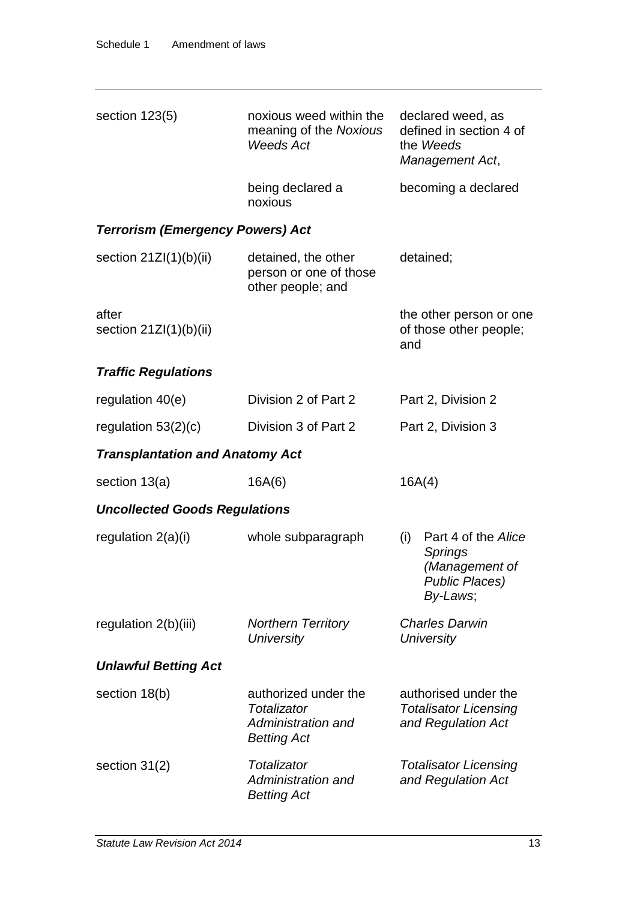| section $123(5)$                        | noxious weed within the<br>meaning of the Noxious<br><b>Weeds Act</b>           | declared weed, as<br>defined in section 4 of<br>the Weeds<br>Management Act,                 |
|-----------------------------------------|---------------------------------------------------------------------------------|----------------------------------------------------------------------------------------------|
|                                         | being declared a<br>noxious                                                     | becoming a declared                                                                          |
| <b>Terrorism (Emergency Powers) Act</b> |                                                                                 |                                                                                              |
| section $21ZI(1)(b)(ii)$                | detained, the other<br>person or one of those<br>other people; and              | detained;                                                                                    |
| after<br>section $21ZI(1)(b)(ii)$       |                                                                                 | the other person or one<br>of those other people;<br>and                                     |
| <b>Traffic Regulations</b>              |                                                                                 |                                                                                              |
| regulation $40(e)$                      | Division 2 of Part 2                                                            | Part 2, Division 2                                                                           |
| regulation $53(2)(c)$                   | Division 3 of Part 2                                                            | Part 2, Division 3                                                                           |
| <b>Transplantation and Anatomy Act</b>  |                                                                                 |                                                                                              |
| section $13(a)$                         | 16A(6)                                                                          | 16A(4)                                                                                       |
| <b>Uncollected Goods Regulations</b>    |                                                                                 |                                                                                              |
| regulation $2(a)(i)$                    | whole subparagraph                                                              | Part 4 of the Alice<br>(i)<br>Springs<br>(Management of<br><b>Public Places)</b><br>By-Laws; |
| regulation $2(b)(iii)$                  | <b>Northern Territory</b><br><b>University</b>                                  | <b>Charles Darwin</b><br>University                                                          |
| <b>Unlawful Betting Act</b>             |                                                                                 |                                                                                              |
| section 18(b)                           | authorized under the<br>Totalizator<br>Administration and<br><b>Betting Act</b> | authorised under the<br><b>Totalisator Licensing</b><br>and Regulation Act                   |
| section 31(2)                           | Totalizator<br>Administration and<br><b>Betting Act</b>                         | <b>Totalisator Licensing</b><br>and Regulation Act                                           |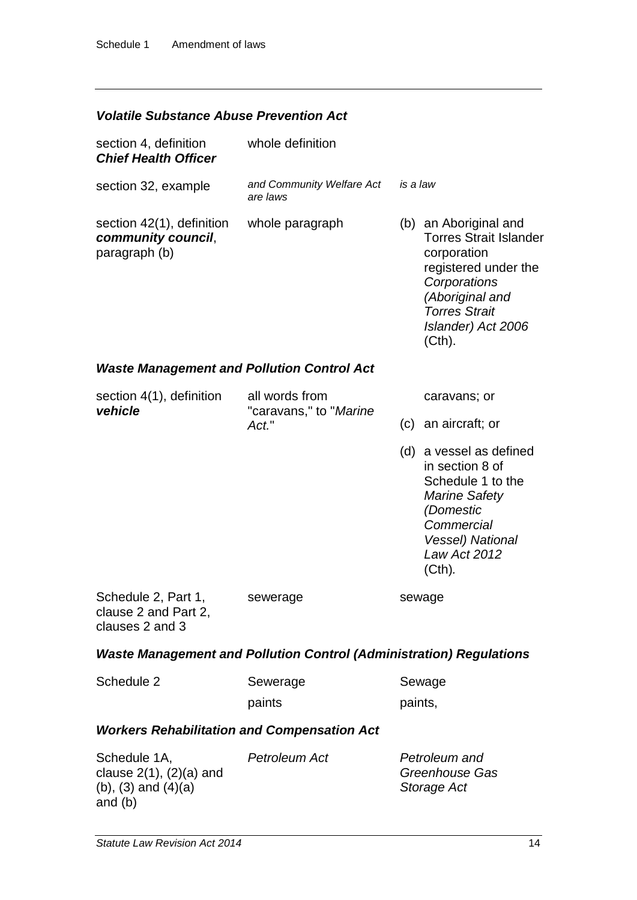#### *Volatile Substance Abuse Prevention Act*

| section 4, definition<br><b>Chief Health Officer</b>                    | whole definition                                                           |          |                                                                                                                                                                                          |
|-------------------------------------------------------------------------|----------------------------------------------------------------------------|----------|------------------------------------------------------------------------------------------------------------------------------------------------------------------------------------------|
| section 32, example                                                     | and Community Welfare Act<br>are laws                                      | is a law |                                                                                                                                                                                          |
| section 42(1), definition<br>community council,<br>paragraph (b)        | whole paragraph                                                            |          | (b) an Aboriginal and<br><b>Torres Strait Islander</b><br>corporation<br>registered under the<br>Corporations<br>(Aboriginal and<br><b>Torres Strait</b><br>Islander) Act 2006<br>(Cth). |
| <b>Waste Management and Pollution Control Act</b>                       |                                                                            |          |                                                                                                                                                                                          |
| section 4(1), definition<br>vehicle                                     | all words from<br>"caravans," to " <i>Marine</i><br>Act."                  |          | caravans; or                                                                                                                                                                             |
|                                                                         |                                                                            | (c)      | an aircraft; or                                                                                                                                                                          |
|                                                                         |                                                                            |          | (d) a vessel as defined<br>in section 8 of<br>Schedule 1 to the<br><b>Marine Safety</b><br>(Domestic<br>Commercial<br><b>Vessel) National</b><br>Law Act 2012<br>(Cth).                  |
| Schedule 2, Part 1,<br>clause 2 and Part 2,<br>clauses 2 and 3          | sewerage                                                                   |          | sewage                                                                                                                                                                                   |
|                                                                         | <b>Waste Management and Pollution Control (Administration) Regulations</b> |          |                                                                                                                                                                                          |
| Schedule 2                                                              | Sewerage                                                                   |          | Sewage                                                                                                                                                                                   |
|                                                                         | paints                                                                     | paints,  |                                                                                                                                                                                          |
| <b>Workers Rehabilitation and Compensation Act</b>                      |                                                                            |          |                                                                                                                                                                                          |
| Schedule 1A,<br>clause $2(1)$ , $(2)(a)$ and<br>(b), $(3)$ and $(4)(a)$ | Petroleum Act                                                              |          | Petroleum and<br>Greenhouse Gas<br>Storage Act                                                                                                                                           |

and (b)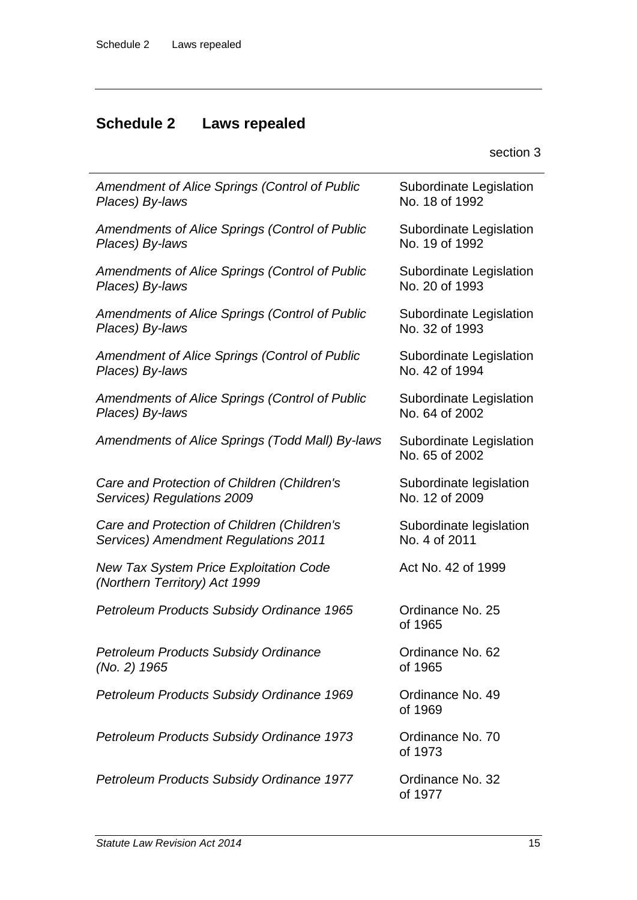# **Schedule 2 Laws repealed**

| <b>Amendment of Alice Springs (Control of Public</b>                           | Subordinate Legislation                   |
|--------------------------------------------------------------------------------|-------------------------------------------|
| Places) By-laws                                                                | No. 18 of 1992                            |
| <b>Amendments of Alice Springs (Control of Public</b>                          | Subordinate Legislation                   |
| Places) By-laws                                                                | No. 19 of 1992                            |
| Amendments of Alice Springs (Control of Public                                 | Subordinate Legislation                   |
| Places) By-laws                                                                | No. 20 of 1993                            |
| Amendments of Alice Springs (Control of Public                                 | Subordinate Legislation                   |
| Places) By-laws                                                                | No. 32 of 1993                            |
| <b>Amendment of Alice Springs (Control of Public</b>                           | Subordinate Legislation                   |
| Places) By-laws                                                                | No. 42 of 1994                            |
| Amendments of Alice Springs (Control of Public                                 | Subordinate Legislation                   |
| Places) By-laws                                                                | No. 64 of 2002                            |
| Amendments of Alice Springs (Todd Mall) By-laws                                | Subordinate Legislation<br>No. 65 of 2002 |
| Care and Protection of Children (Children's                                    | Subordinate legislation                   |
| Services) Regulations 2009                                                     | No. 12 of 2009                            |
| Care and Protection of Children (Children's                                    | Subordinate legislation                   |
| Services) Amendment Regulations 2011                                           | No. 4 of 2011                             |
| <b>New Tax System Price Exploitation Code</b><br>(Northern Territory) Act 1999 | Act No. 42 of 1999                        |
| Petroleum Products Subsidy Ordinance 1965                                      | Ordinance No. 25<br>of 1965               |
| <b>Petroleum Products Subsidy Ordinance</b>                                    | Ordinance No. 62                          |
| (No. 2) 1965                                                                   | of 1965                                   |
| Petroleum Products Subsidy Ordinance 1969                                      | Ordinance No. 49<br>of 1969               |
| Petroleum Products Subsidy Ordinance 1973                                      | Ordinance No. 70<br>of 1973               |
| Petroleum Products Subsidy Ordinance 1977                                      | Ordinance No. 32<br>of 1977               |